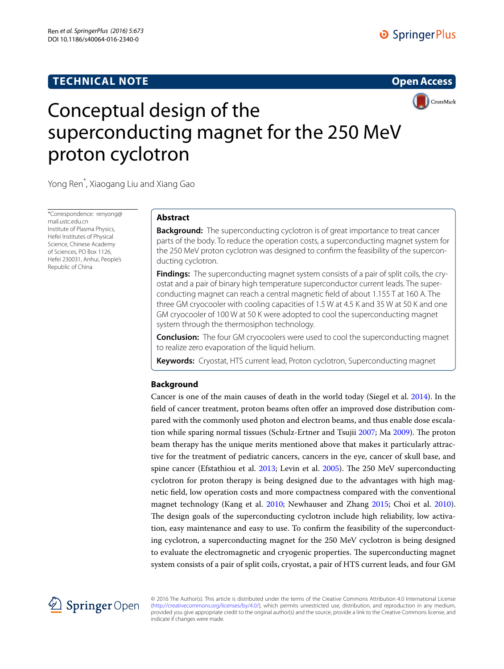# **TECHNICAL NOTE**

# **Open Access**



# Conceptual design of the superconducting magnet for the 250 MeV proton cyclotron

Yong Ren\* , Xiaogang Liu and Xiang Gao

\*Correspondence: renyong@ mail.ustc.edu.cn Institute of Plasma Physics, Hefei Institutes of Physical Science, Chinese Academy of Sciences, PO Box 1126, Hefei 230031, Anhui, People's Republic of China

# **Abstract**

**Background:** The superconducting cyclotron is of great importance to treat cancer parts of the body. To reduce the operation costs, a superconducting magnet system for the 250 MeV proton cyclotron was designed to confirm the feasibility of the superconducting cyclotron.

**Findings:** The superconducting magnet system consists of a pair of split coils, the cryostat and a pair of binary high temperature superconductor current leads. The superconducting magnet can reach a central magnetic field of about 1.155 T at 160 A. The three GM cryocooler with cooling capacities of 1.5 W at 4.5 K and 35 W at 50 K and one GM cryocooler of 100 W at 50 K were adopted to cool the superconducting magnet system through the thermosiphon technology.

**Conclusion:** The four GM cryocoolers were used to cool the superconducting magnet to realize zero evaporation of the liquid helium.

**Keywords:** Cryostat, HTS current lead, Proton cyclotron, Superconducting magnet

## **Background**

Cancer is one of the main causes of death in the world today (Siegel et al. [2014\)](#page-5-0). In the field of cancer treatment, proton beams often offer an improved dose distribution compared with the commonly used photon and electron beams, and thus enable dose escalation while sparing normal tissues (Schulz-Ertner and Tsujii [2007;](#page-5-1) Ma [2009](#page-5-2)). The proton beam therapy has the unique merits mentioned above that makes it particularly attractive for the treatment of pediatric cancers, cancers in the eye, cancer of skull base, and spine cancer (Efstathiou et al. [2013;](#page-5-3) Levin et al. [2005\)](#page-5-4). The 250 MeV superconducting cyclotron for proton therapy is being designed due to the advantages with high magnetic field, low operation costs and more compactness compared with the conventional magnet technology (Kang et al. [2010](#page-5-5); Newhauser and Zhang [2015](#page-5-6); Choi et al. [2010](#page-5-7)). The design goals of the superconducting cyclotron include high reliability, low activation, easy maintenance and easy to use. To confirm the feasibility of the superconducting cyclotron, a superconducting magnet for the 250 MeV cyclotron is being designed to evaluate the electromagnetic and cryogenic properties. The superconducting magnet system consists of a pair of split coils, cryostat, a pair of HTS current leads, and four GM



© 2016 The Author(s). This article is distributed under the terms of the Creative Commons Attribution 4.0 International License [\(http://creativecommons.org/licenses/by/4.0/](http://creativecommons.org/licenses/by/4.0/)), which permits unrestricted use, distribution, and reproduction in any medium, provided you give appropriate credit to the original author(s) and the source, provide a link to the Creative Commons license, and indicate if changes were made.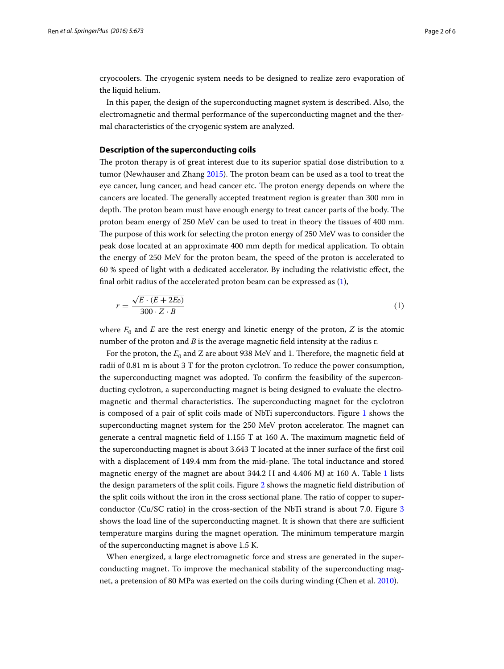cryocoolers. The cryogenic system needs to be designed to realize zero evaporation of the liquid helium.

In this paper, the design of the superconducting magnet system is described. Also, the electromagnetic and thermal performance of the superconducting magnet and the thermal characteristics of the cryogenic system are analyzed.

## **Description of the superconducting coils**

The proton therapy is of great interest due to its superior spatial dose distribution to a tumor (Newhauser and Zhang [2015\)](#page-5-6). The proton beam can be used as a tool to treat the eye cancer, lung cancer, and head cancer etc. The proton energy depends on where the cancers are located. The generally accepted treatment region is greater than 300 mm in depth. The proton beam must have enough energy to treat cancer parts of the body. The proton beam energy of 250 MeV can be used to treat in theory the tissues of 400 mm. The purpose of this work for selecting the proton energy of 250 MeV was to consider the peak dose located at an approximate 400 mm depth for medical application. To obtain the energy of 250 MeV for the proton beam, the speed of the proton is accelerated to 60 % speed of light with a dedicated accelerator. By including the relativistic effect, the final orbit radius of the accelerated proton beam can be expressed as ([1](#page-1-0)),

<span id="page-1-0"></span>
$$
r = \frac{\sqrt{E \cdot (E + 2E_0)}}{300 \cdot Z \cdot B} \tag{1}
$$

where  $E_0$  and  $E$  are the rest energy and kinetic energy of the proton,  $Z$  is the atomic number of the proton and *B* is the average magnetic field intensity at the radius r.

For the proton, the  $E_0$  and Z are about 938 MeV and 1. Therefore, the magnetic field at radii of 0.81 m is about 3 T for the proton cyclotron. To reduce the power consumption, the superconducting magnet was adopted. To confirm the feasibility of the superconducting cyclotron, a superconducting magnet is being designed to evaluate the electromagnetic and thermal characteristics. The superconducting magnet for the cyclotron is composed of a pair of split coils made of NbTi superconductors. Figure [1](#page-2-0) shows the superconducting magnet system for the 250 MeV proton accelerator. The magnet can generate a central magnetic field of 1.155 T at 160 A. The maximum magnetic field of the superconducting magnet is about 3.643 T located at the inner surface of the first coil with a displacement of 149.4 mm from the mid-plane. The total inductance and stored magnetic energy of the magnet are about 344.2 H and 4.406 MJ at 160 A. Table [1](#page-2-1) lists the design parameters of the split coils. Figure [2](#page-2-2) shows the magnetic field distribution of the split coils without the iron in the cross sectional plane. The ratio of copper to superconductor (Cu/SC ratio) in the cross-section of the NbTi strand is about 7.0. Figure [3](#page-3-0) shows the load line of the superconducting magnet. It is shown that there are sufficient temperature margins during the magnet operation. The minimum temperature margin of the superconducting magnet is above 1.5 K.

When energized, a large electromagnetic force and stress are generated in the superconducting magnet. To improve the mechanical stability of the superconducting magnet, a pretension of 80 MPa was exerted on the coils during winding (Chen et al. [2010\)](#page-5-8).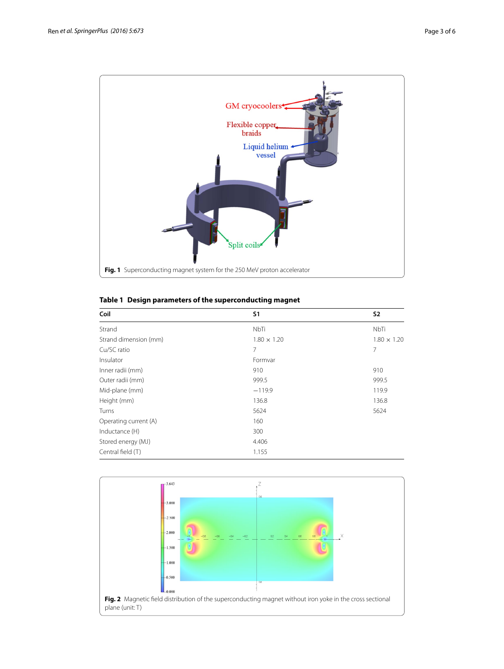

<span id="page-2-1"></span><span id="page-2-0"></span>

|  |  | Table 1 Design parameters of the superconducting magnet |  |
|--|--|---------------------------------------------------------|--|
|  |  |                                                         |  |

| Coil                  | S <sub>1</sub>     | <b>S2</b>          |
|-----------------------|--------------------|--------------------|
| Strand                | NbTi               | NbTi               |
| Strand dimension (mm) | $1.80 \times 1.20$ | $1.80 \times 1.20$ |
| Cu/SC ratio           | 7                  | 7                  |
| Insulator             | Formvar            |                    |
| Inner radii (mm)      | 910                | 910                |
| Outer radii (mm)      | 999.5              | 999.5              |
| Mid-plane (mm)        | $-119.9$           | 119.9              |
| Height (mm)           | 136.8              | 136.8              |
| Turns                 | 5624               | 5624               |
| Operating current (A) | 160                |                    |
| Inductance (H)        | 300                |                    |
| Stored energy (MJ)    | 4.406              |                    |
| Central field (T)     | 1.155              |                    |

<span id="page-2-2"></span>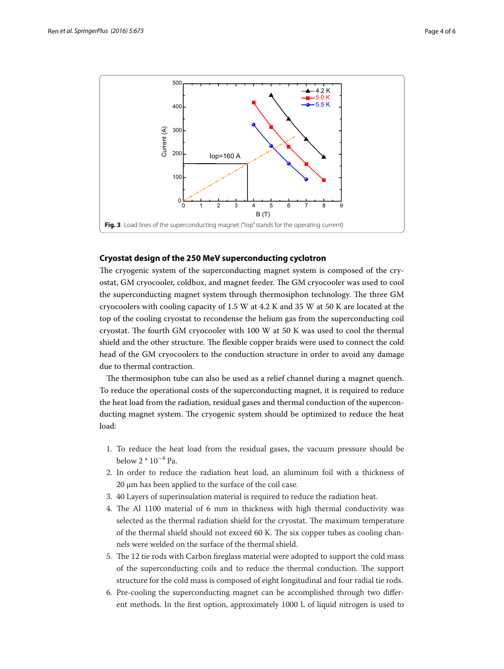

## <span id="page-3-0"></span>**Cryostat design of the 250 MeV superconducting cyclotron**

The cryogenic system of the superconducting magnet system is composed of the cryostat, GM cryocooler, coldbox, and magnet feeder. The GM cryocooler was used to cool the superconducting magnet system through thermosiphon technology. The three GM cryocoolers with cooling capacity of 1.5 W at 4.2 K and 35 W at 50 K are located at the top of the cooling cryostat to recondense the helium gas from the superconducting coil cryostat. The fourth GM cryocooler with 100 W at 50 K was used to cool the thermal shield and the other structure. The flexible copper braids were used to connect the cold head of the GM cryocoolers to the conduction structure in order to avoid any damage due to thermal contraction.

The thermosiphon tube can also be used as a relief channel during a magnet quench. To reduce the operational costs of the superconducting magnet, it is required to reduce the heat load from the radiation, residual gases and thermal conduction of the superconducting magnet system. The cryogenic system should be optimized to reduce the heat load:

- 1. To reduce the heat load from the residual gases, the vacuum pressure should be below 2 \* 10−<sup>4</sup> Pa.
- 2. In order to reduce the radiation heat load, an aluminum foil with a thickness of 20 μm has been applied to the surface of the coil case.
- 3. 40 Layers of superinsulation material is required to reduce the radiation heat.
- 4. The Al 1100 material of 6 mm in thickness with high thermal conductivity was selected as the thermal radiation shield for the cryostat. The maximum temperature of the thermal shield should not exceed 60 K. The six copper tubes as cooling channels were welded on the surface of the thermal shield.
- 5. The 12 tie rods with Carbon fireglass material were adopted to support the cold mass of the superconducting coils and to reduce the thermal conduction. The support structure for the cold mass is composed of eight longitudinal and four radial tie rods.
- 6. Pre-cooling the superconducting magnet can be accomplished through two different methods. In the first option, approximately 1000 L of liquid nitrogen is used to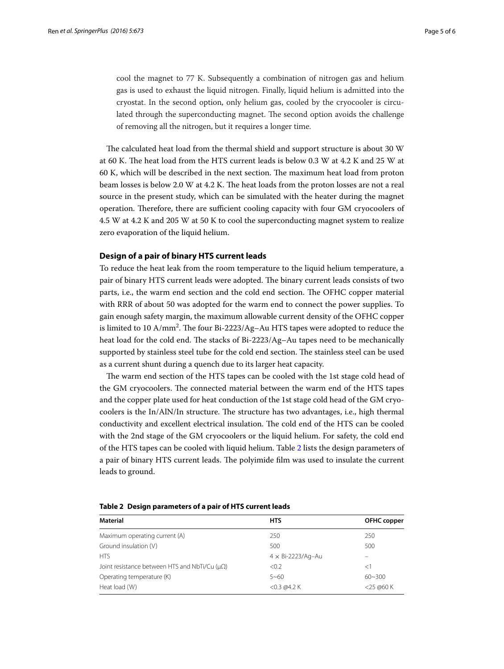cool the magnet to 77 K. Subsequently a combination of nitrogen gas and helium gas is used to exhaust the liquid nitrogen. Finally, liquid helium is admitted into the cryostat. In the second option, only helium gas, cooled by the cryocooler is circulated through the superconducting magnet. The second option avoids the challenge of removing all the nitrogen, but it requires a longer time.

The calculated heat load from the thermal shield and support structure is about 30 W at 60 K. The heat load from the HTS current leads is below 0.3 W at 4.2 K and 25 W at 60 K, which will be described in the next section. The maximum heat load from proton beam losses is below 2.0 W at 4.2 K. The heat loads from the proton losses are not a real source in the present study, which can be simulated with the heater during the magnet operation. Therefore, there are sufficient cooling capacity with four GM cryocoolers of 4.5 W at 4.2 K and 205 W at 50 K to cool the superconducting magnet system to realize zero evaporation of the liquid helium.

## **Design of a pair of binary HTS current leads**

To reduce the heat leak from the room temperature to the liquid helium temperature, a pair of binary HTS current leads were adopted. The binary current leads consists of two parts, i.e., the warm end section and the cold end section. The OFHC copper material with RRR of about 50 was adopted for the warm end to connect the power supplies. To gain enough safety margin, the maximum allowable current density of the OFHC copper is limited to 10 A/mm2 . The four Bi-2223/Ag–Au HTS tapes were adopted to reduce the heat load for the cold end. The stacks of Bi-2223/Ag–Au tapes need to be mechanically supported by stainless steel tube for the cold end section. The stainless steel can be used as a current shunt during a quench due to its larger heat capacity.

The warm end section of the HTS tapes can be cooled with the 1st stage cold head of the GM cryocoolers. The connected material between the warm end of the HTS tapes and the copper plate used for heat conduction of the 1st stage cold head of the GM cryocoolers is the In/AlN/In structure. The structure has two advantages, i.e., high thermal conductivity and excellent electrical insulation. The cold end of the HTS can be cooled with the 2nd stage of the GM cryocoolers or the liquid helium. For safety, the cold end of the HTS tapes can be cooled with liquid helium. Table [2](#page-4-0) lists the design parameters of a pair of binary HTS current leads. The polyimide film was used to insulate the current leads to ground.

| Material                                                 | <b>HTS</b>               | OFHC copper  |
|----------------------------------------------------------|--------------------------|--------------|
| Maximum operating current (A)                            | 250                      | 250          |
| Ground insulation (V)                                    | 500                      | 500          |
| <b>HTS</b>                                               | $4 \times$ Bi-2223/Ag-Au |              |
| Joint resistance between HTS and NbTi/Cu ( $\mu\Omega$ ) | < 0.2                    | <1           |
| Operating temperature (K)                                | $5 - 60$                 | $60 - 300$   |
| Heat load (W)                                            | $<$ 0.3 @ 4.2 K          | $<$ 25 @60 K |

<span id="page-4-0"></span>**Table 2 Design parameters of a pair of HTS current leads**